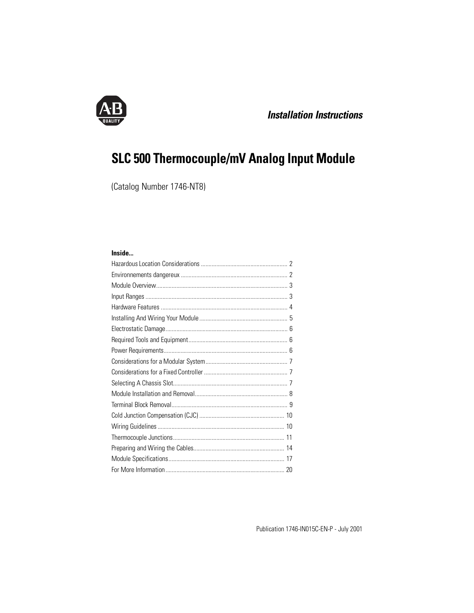

# **SLC 500 Thermocouple/mV Analog Input Module**

(Catalog Number 1746-NT8)

### Inside...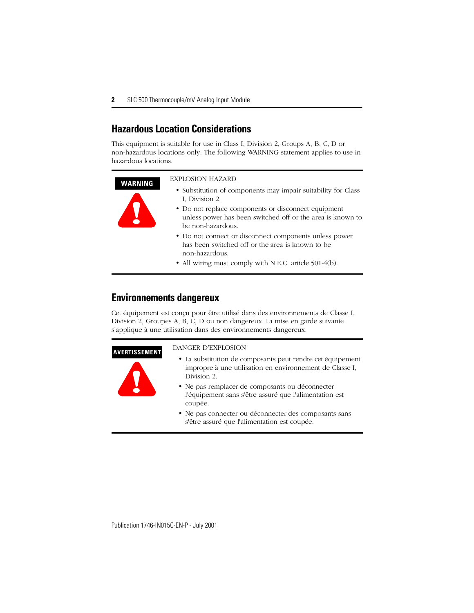# <span id="page-1-0"></span>**Hazardous Location Considerations**

This equipment is suitable for use in Class I, Division 2, Groups A, B, C, D or non-hazardous locations only. The following WARNING statement applies to use in hazardous locations.

### **WARNING !** EXPLOSION HAZARD • Substitution of components may impair suitability for Class I, Division 2. • Do not replace components or disconnect equipment unless power has been switched off or the area is known to be non-hazardous. • Do not connect or disconnect components unless power

- has been switched off or the area is known to be non-hazardous.
- All wiring must comply with N.E.C. article 501-4(b).

### <span id="page-1-1"></span>**Environnements dangereux**

Cet équipement est conçu pour être utilisé dans des environnements de Classe I, Division 2, Groupes A, B, C, D ou non dangereux. La mise en garde suivante s'applique à une utilisation dans des environnements dangereux.

### **AVERTISSEMENT**



### DANGER D'EXPLOSION

- La substitution de composants peut rendre cet équipement impropre à une utilisation en environnement de Classe I, Division 2.
- Ne pas remplacer de composants ou déconnecter l'équipement sans s'être assuré que l'alimentation est coupée.
- Ne pas connecter ou déconnecter des composants sans s'être assuré que l'alimentation est coupée.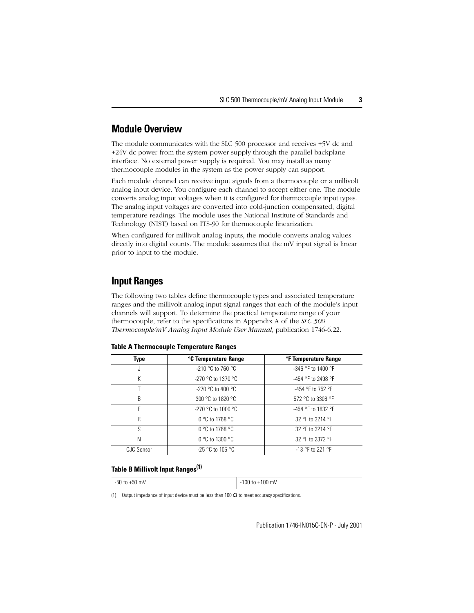# <span id="page-2-0"></span>**Module Overview**

The module communicates with the SLC 500 processor and receives +5V dc and +24V dc power from the system power supply through the parallel backplane interface. No external power supply is required. You may install as many thermocouple modules in the system as the power supply can support.

Each module channel can receive input signals from a thermocouple or a millivolt analog input device. You configure each channel to accept either one. The module converts analog input voltages when it is configured for thermocouple input types. The analog input voltages are converted into cold-junction compensated, digital temperature readings. The module uses the National Institute of Standards and Technology (NIST) based on ITS-90 for thermocouple linearization.

When configured for millivolt analog inputs, the module converts analog values directly into digital counts. The module assumes that the mV input signal is linear prior to input to the module.

### <span id="page-2-1"></span>**Input Ranges**

The following two tables define thermocouple types and associated temperature ranges and the millivolt analog input signal ranges that each of the module's input channels will support. To determine the practical temperature range of your thermocouple, refer to the specifications in Appendix A of the *SLC 500 Thermocouple/mV Analog Input Module User Manual*, publication 1746-6.22.

| Type              | <b>°C Temperature Range</b>        | <b>°F Temperature Range</b> |
|-------------------|------------------------------------|-----------------------------|
| J                 | -210 °C to 760 °C                  | $-346$ °F to 1400 °F        |
| К                 | $-270$ °C to 1370 °C               | -454 °F to 2498 °F          |
|                   | $-270$ °C to 400 °C                | -454 °F to 752 °F           |
| R                 | 300 °C to 1820 °C                  | 572 °C to 3308 °F           |
| F                 | $-270$ °C to 1000 °C               | -454 °F to 1832 °F          |
| R                 | $0^{\circ}$ C to 1768 $^{\circ}$ C | 32 °F to 3214 °F            |
| S                 | $0^{\circ}$ C to 1768 $^{\circ}$ C | 32 °F to 3214 °F            |
| N                 | $0^{\circ}$ C to 1300 $^{\circ}$ C | 32 °F to 2372 °F            |
| <b>CJC Sensor</b> | $-25$ °C to 105 °C                 | $-13$ °F to 221 °F          |

| <b>Table A Thermocouple Temperature Ranges</b> |  |  |
|------------------------------------------------|--|--|
|------------------------------------------------|--|--|

### **Table B Millivolt Input Ranges(1)**

| $-1$   | 100 mV |
|--------|--------|
| -50 to | 100    |
| +50 mV | $to +$ |
|        |        |

(1) Output impedance of input device must be less than 100  $\Omega$  to meet accuracy specifications.

Publication 1746-IN015C-EN-P - July 2001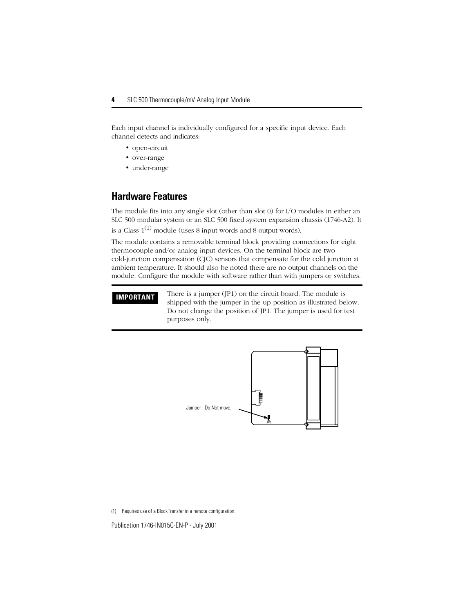Each input channel is individually configured for a specific input device. Each channel detects and indicates:

- open-circuit
- over-range
- under-range

### <span id="page-3-0"></span>**Hardware Features**

The module fits into any single slot (other than slot 0) for I/O modules in either an SLC 500 modular system or an SLC 500 fixed system expansion chassis (1746-A2). It is a Class  $1^{(1)}$  module (uses 8 input words and 8 output words).

The module contains a removable terminal block providing connections for eight thermocouple and/or analog input devices. On the terminal block are two cold-junction compensation (CJC) sensors that compensate for the cold junction at ambient temperature. It should also be noted there are no output channels on the module. Configure the module with software rather than with jumpers or switches.

**IMPORTANT** There is a jumper (JP1) on the circuit board. The module is shipped with the jumper in the up position as illustrated below. Do not change the position of JP1. The jumper is used for test purposes only.



(1) Requires use of a Block Transfer in a remote configuration.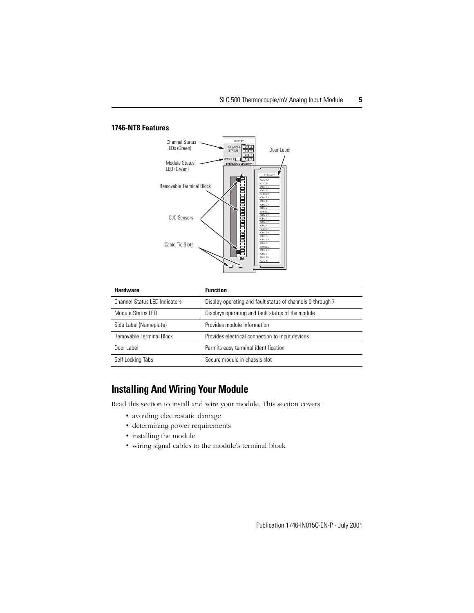### **1746-NT8 Features**



| <b>Hardware</b>                      | <b>Function</b>                                            |
|--------------------------------------|------------------------------------------------------------|
| <b>Channel Status LED Indicators</b> | Display operating and fault status of channels 0 through 7 |
| Module Status LED                    | Displays operating and fault status of the module          |
| Side Label (Nameplate)               | Provides module information                                |
| <b>Removable Terminal Block</b>      | Provides electrical connection to input devices            |
| Door Label                           | Permits easy terminal identification                       |
| Self Locking Tabs                    | Secure module in chassis slot                              |

### <span id="page-4-0"></span>**Installing And Wiring Your Module**

Read this section to install and wire your module. This section covers:

- avoiding electrostatic damage
- determining power requirements
- installing the module
- wiring signal cables to the module's terminal block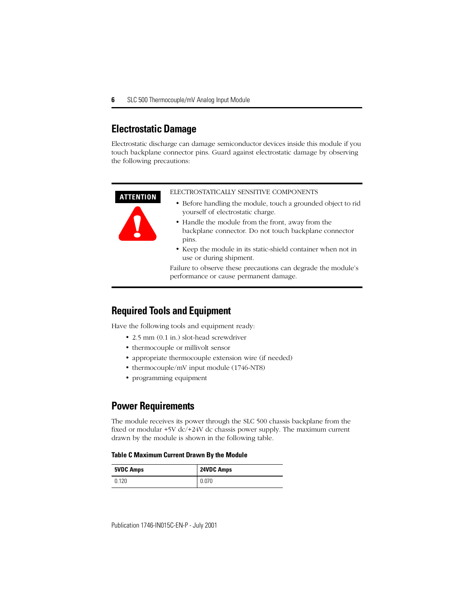# <span id="page-5-0"></span>**Electrostatic Damage**

Electrostatic discharge can damage semiconductor devices inside this module if you touch backplane connector pins. Guard against electrostatic damage by observing the following precautions:

### **ATTENTION !** ELECTROSTATICALLY SENSITIVE COMPONENTS • Before handling the module, touch a grounded object to rid yourself of electrostatic charge. • Handle the module from the front, away from the backplane connector. Do not touch backplane connector pins. • Keep the module in its static-shield container when not in use or during shipment.

Failure to observe these precautions can degrade the module's performance or cause permanent damage.

# <span id="page-5-1"></span>**Required Tools and Equipment**

Have the following tools and equipment ready:

- 2.5 mm  $(0.1 \text{ in.})$  slot-head screwdriver
- thermocouple or millivolt sensor
- appropriate thermocouple extension wire (if needed)
- thermocouple/mV input module (1746-NT8)
- programming equipment

# <span id="page-5-2"></span>**Power Requirements**

The module receives its power through the SLC 500 chassis backplane from the fixed or modular +5V dc/+24V dc chassis power supply. The maximum current drawn by the module is shown in the following table.

### **Table C Maximum Current Drawn By the Module**

| <b>5VDC Amps</b> | 24VDC Amps |
|------------------|------------|
| 0.120            | 0.070      |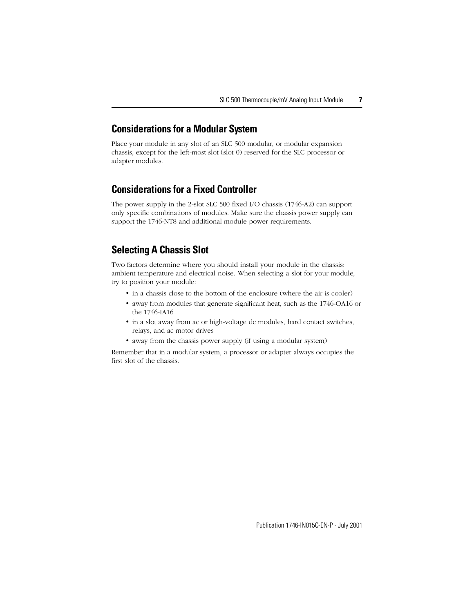### <span id="page-6-0"></span>**Considerations for a Modular System**

Place your module in any slot of an SLC 500 modular, or modular expansion chassis, except for the left-most slot (slot 0) reserved for the SLC processor or adapter modules.

# <span id="page-6-1"></span>**Considerations for a Fixed Controller**

The power supply in the 2-slot SLC 500 fixed I/O chassis (1746-A2) can support only specific combinations of modules. Make sure the chassis power supply can support the 1746-NT8 and additional module power requirements.

# <span id="page-6-2"></span>**Selecting A Chassis Slot**

Two factors determine where you should install your module in the chassis: ambient temperature and electrical noise. When selecting a slot for your module, try to position your module:

- in a chassis close to the bottom of the enclosure (where the air is cooler)
- away from modules that generate significant heat, such as the 1746-OA16 or the 1746-IA16
- in a slot away from ac or high-voltage dc modules, hard contact switches, relays, and ac motor drives
- away from the chassis power supply (if using a modular system)

Remember that in a modular system, a processor or adapter always occupies the first slot of the chassis.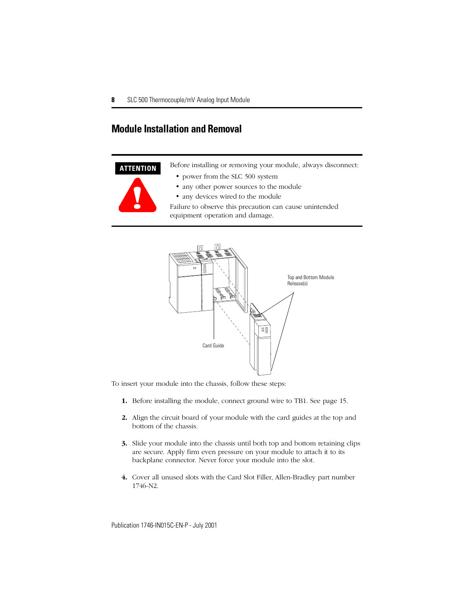## <span id="page-7-0"></span>**Module Installation and Removal**

### **ATTENTION**

**!**

Before installing or removing your module, always disconnect:

- power from the SLC 500 system
- any other power sources to the module
- any devices wired to the module

Failure to observe this precaution can cause unintended equipment operation and damage.



To insert your module into the chassis, follow these steps:

- **1.** Before installing the module, connect ground wire to TB1. See [page 15.](#page-14-0)
- **2.** Align the circuit board of your module with the card guides at the top and bottom of the chassis.
- **3.** Slide your module into the chassis until both top and bottom retaining clips are secure. Apply firm even pressure on your module to attach it to its backplane connector. Never force your module into the slot.
- **4.** Cover all unused slots with the Card Slot Filler, Allen-Bradley part number 1746-N2.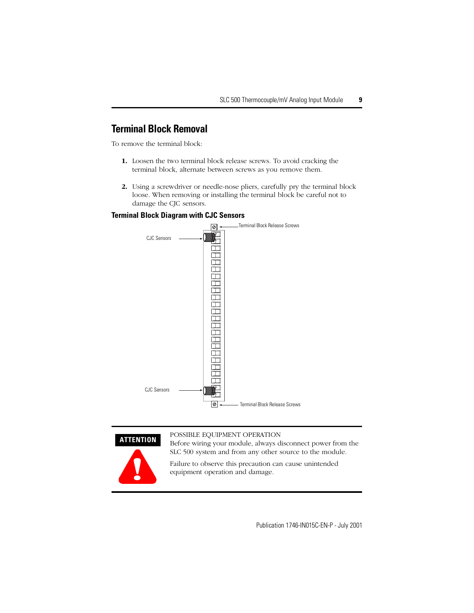# <span id="page-8-0"></span>**Terminal Block Removal**

To remove the terminal block:

- **1.** Loosen the two terminal block release screws. To avoid cracking the terminal block, alternate between screws as you remove them.
- **2.** Using a screwdriver or needle-nose pliers, carefully pry the terminal block loose. When removing or installing the terminal block be careful not to damage the CJC sensors.

### **Terminal Block Diagram with CJC Sensors**





#### POSSIBLE EQUIPMENT OPERATION



Before wiring your module, always disconnect power from the SLC 500 system and from any other source to the module.

Failure to observe this precaution can cause unintended equipment operation and damage.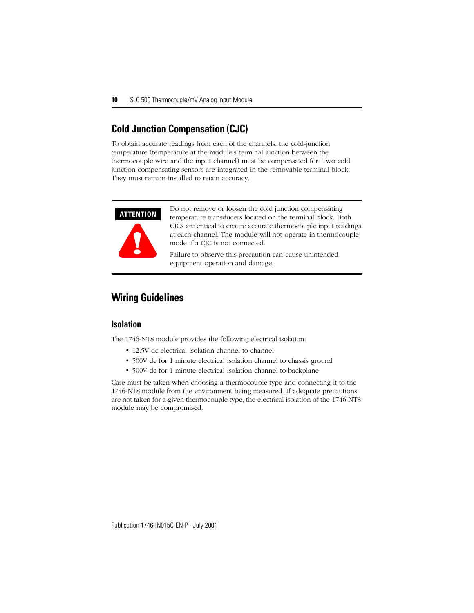# <span id="page-9-0"></span>**Cold Junction Compensation (CJC)**

To obtain accurate readings from each of the channels, the cold-junction temperature (temperature at the module's terminal junction between the thermocouple wire and the input channel) must be compensated for. Two cold junction compensating sensors are integrated in the removable terminal block. They must remain installed to retain accuracy.

### **ATTENTION**



Do not remove or loosen the cold junction compensating temperature transducers located on the terminal block. Both CJCs are critical to ensure accurate thermocouple input readings at each channel. The module will not operate in thermocouple mode if a CJC is not connected.

Failure to observe this precaution can cause unintended equipment operation and damage.

# <span id="page-9-1"></span>**Wiring Guidelines**

### **Isolation**

The 1746-NT8 module provides the following electrical isolation:

- 12.5V dc electrical isolation channel to channel
- 500V dc for 1 minute electrical isolation channel to chassis ground
- 500V dc for 1 minute electrical isolation channel to backplane

Care must be taken when choosing a thermocouple type and connecting it to the 1746-NT8 module from the environment being measured. If adequate precautions are not taken for a given thermocouple type, the electrical isolation of the 1746-NT8 module may be compromised.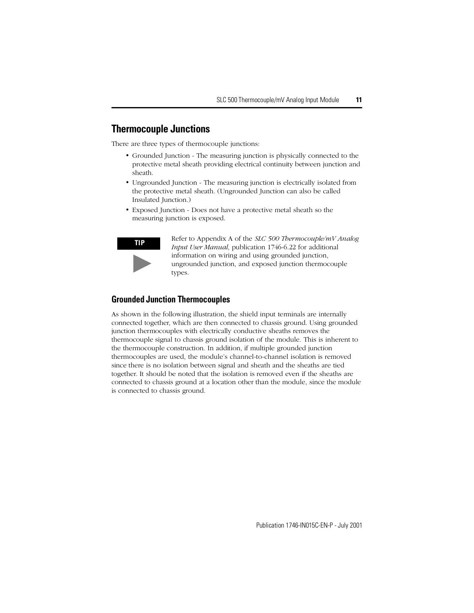### <span id="page-10-0"></span>**Thermocouple Junctions**

There are three types of thermocouple junctions:

- Grounded Junction The measuring junction is physically connected to the protective metal sheath providing electrical continuity between junction and sheath.
- Ungrounded Junction The measuring junction is electrically isolated from the protective metal sheath. (Ungrounded Junction can also be called Insulated Junction.)
- Exposed Junction Does not have a protective metal sheath so the measuring junction is exposed.



**TIP** Refer to Appendix A of the *SLC 500 Thermocouple/mV Analog Input User Manual*, publication 1746-6.22 for additional information on wiring and using grounded junction, ungrounded junction, and exposed junction thermocouple types.

### **Grounded Junction Thermocouples**

As shown in the following illustration, the shield input terminals are internally connected together, which are then connected to chassis ground. Using grounded junction thermocouples with electrically conductive sheaths removes the thermocouple signal to chassis ground isolation of the module. This is inherent to the thermocouple construction. In addition, if multiple grounded junction thermocouples are used, the module's channel-to-channel isolation is removed since there is no isolation between signal and sheath and the sheaths are tied together. It should be noted that the isolation is removed even if the sheaths are connected to chassis ground at a location other than the module, since the module is connected to chassis ground.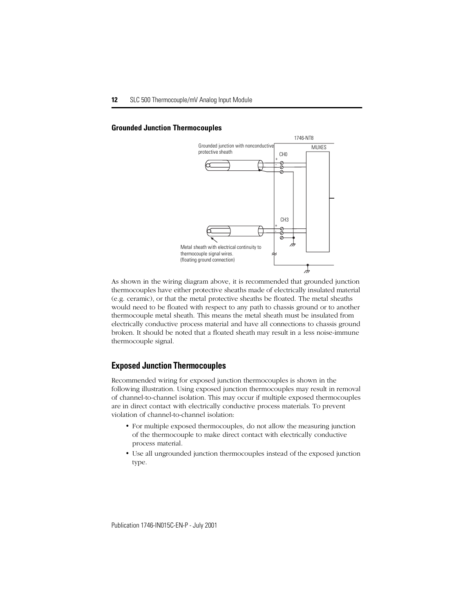



As shown in the wiring diagram above, it is recommended that grounded junction thermocouples have either protective sheaths made of electrically insulated material (e.g. ceramic), or that the metal protective sheaths be floated. The metal sheaths would need to be floated with respect to any path to chassis ground or to another thermocouple metal sheath. This means the metal sheath must be insulated from electrically conductive process material and have all connections to chassis ground broken. It should be noted that a floated sheath may result in a less noise-immune thermocouple signal.

### **Exposed Junction Thermocouples**

Recommended wiring for exposed junction thermocouples is shown in the following illustration. Using exposed junction thermocouples may result in removal of channel-to-channel isolation. This may occur if multiple exposed thermocouples are in direct contact with electrically conductive process materials. To prevent violation of channel-to-channel isolation:

- For multiple exposed thermocouples, do not allow the measuring junction of the thermocouple to make direct contact with electrically conductive process material.
- Use all ungrounded junction thermocouples instead of the exposed junction type.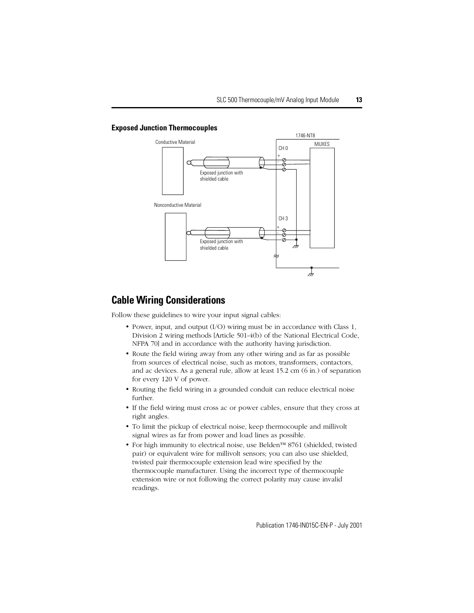

### **Exposed Junction Thermocouples**

### **Cable Wiring Considerations**

Follow these guidelines to wire your input signal cables:

- Power, input, and output (I/O) wiring must be in accordance with Class 1, Division 2 wiring methods [Article 501-4(b) of the National Electrical Code, NFPA 70] and in accordance with the authority having jurisdiction.
- Route the field wiring away from any other wiring and as far as possible from sources of electrical noise, such as motors, transformers, contactors, and ac devices. As a general rule, allow at least 15.2 cm (6 in.) of separation for every 120 V of power.
- Routing the field wiring in a grounded conduit can reduce electrical noise further.
- If the field wiring must cross ac or power cables, ensure that they cross at right angles.
- To limit the pickup of electrical noise, keep thermocouple and millivolt signal wires as far from power and load lines as possible.
- For high immunity to electrical noise, use Belden™ 8761 (shielded, twisted pair) or equivalent wire for millivolt sensors; you can also use shielded, twisted pair thermocouple extension lead wire specified by the thermocouple manufacturer. Using the incorrect type of thermocouple extension wire or not following the correct polarity may cause invalid readings.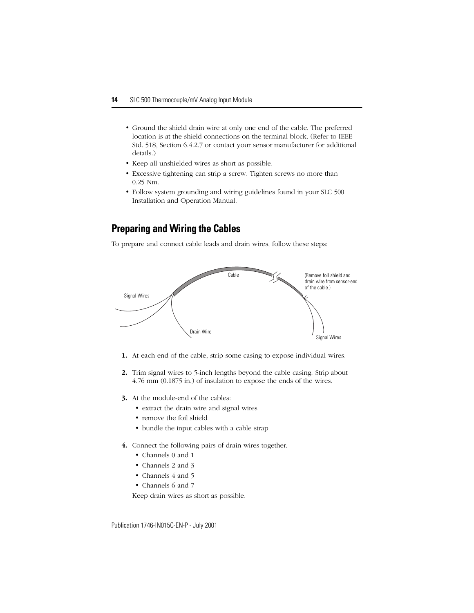- Ground the shield drain wire at only one end of the cable. The preferred location is at the shield connections on the terminal block. (Refer to IEEE Std. 518, Section 6.4.2.7 or contact your sensor manufacturer for additional details.)
- Keep all unshielded wires as short as possible.
- Excessive tightening can strip a screw. Tighten screws no more than 0.25 Nm.
- Follow system grounding and wiring guidelines found in your SLC 500 Installation and Operation Manual.

### <span id="page-13-0"></span>**Preparing and Wiring the Cables**

To prepare and connect cable leads and drain wires, follow these steps:



- **1.** At each end of the cable, strip some casing to expose individual wires.
- **2.** Trim signal wires to 5-inch lengths beyond the cable casing. Strip about 4.76 mm (0.1875 in.) of insulation to expose the ends of the wires.
- **3.** At the module-end of the cables:
	- extract the drain wire and signal wires
	- remove the foil shield
	- bundle the input cables with a cable strap
- **4.** Connect the following pairs of drain wires together.
	- Channels 0 and 1
	- Channels 2 and 3
	- Channels 4 and 5
	- Channels 6 and 7

Keep drain wires as short as possible.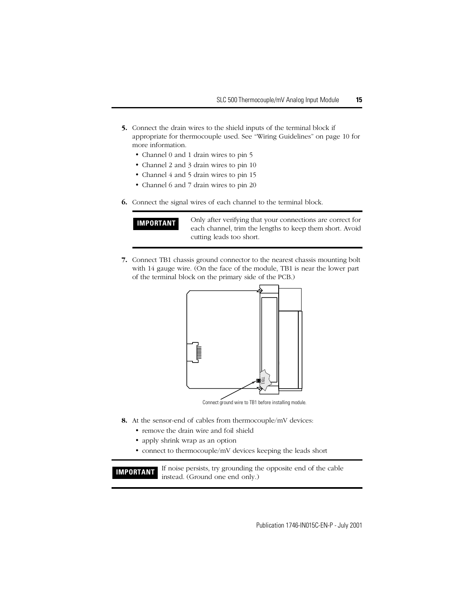- **5.** Connect the drain wires to the shield inputs of the terminal block if appropriate for thermocouple used. [See "Wiring Guidelines" on page 10](#page-9-1) for more information.
	- Channel 0 and 1 drain wires to pin 5
	- Channel 2 and 3 drain wires to pin 10
	- Channel 4 and 5 drain wires to pin 15
	- Channel 6 and 7 drain wires to pin 20
- **6.** Connect the signal wires of each channel to the terminal block.

**IMPORTANT** Only after verifying that your connections are correct for each channel, trim the lengths to keep them short. Avoid cutting leads too short.

<span id="page-14-0"></span>**7.** Connect TB1 chassis ground connector to the nearest chassis mounting bolt with 14 gauge wire. (On the face of the module, TB1 is near the lower part of the terminal block on the primary side of the PCB.)



Connect ground wire to TB1 before installing module.

- **8.** At the sensor-end of cables from thermocouple/mV devices:
	- remove the drain wire and foil shield
	- apply shrink wrap as an option
	- connect to thermocouple/mV devices keeping the leads short

**IMPORTANT** If noise persists, try grounding the opposite end of the cable instead. (Ground one end only.)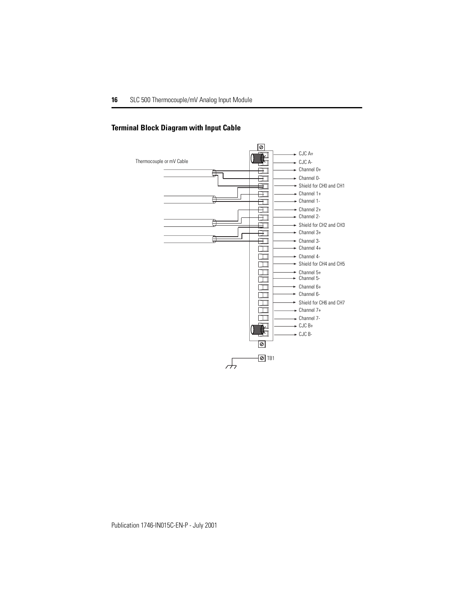

### **Terminal Block Diagram with Input Cable**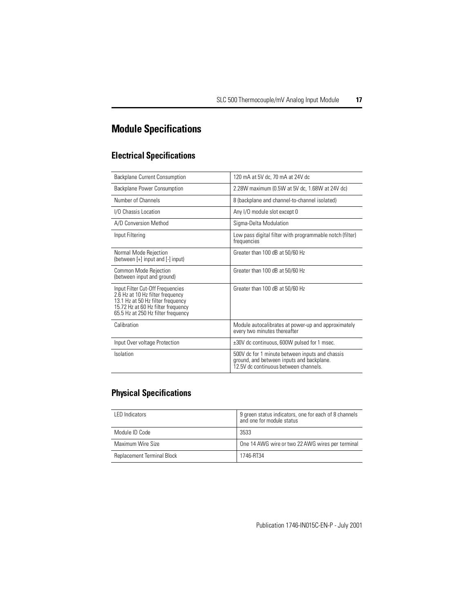# <span id="page-16-0"></span>**Module Specifications**

### **Electrical Specifications**

| Backplane Current Consumption                                                                                                                                                         | 120 mA at 5V dc, 70 mA at 24V dc                                                                                                      |
|---------------------------------------------------------------------------------------------------------------------------------------------------------------------------------------|---------------------------------------------------------------------------------------------------------------------------------------|
| Backplane Power Consumption                                                                                                                                                           | 2.28W maximum (0.5W at 5V dc, 1.68W at 24V dc)                                                                                        |
| Number of Channels                                                                                                                                                                    | 8 (backplane and channel-to-channel isolated)                                                                                         |
| I/O Chassis Location                                                                                                                                                                  | Any I/O module slot except 0                                                                                                          |
| A/D Conversion Method                                                                                                                                                                 | Sigma-Delta Modulation                                                                                                                |
| Input Filtering                                                                                                                                                                       | Low pass digital filter with programmable notch (filter)<br>frequencies                                                               |
| Normal Mode Rejection<br>(between [+] input and [-] input)                                                                                                                            | Greater than 100 dB at 50/60 Hz                                                                                                       |
| Common Mode Rejection<br>(between input and ground)                                                                                                                                   | Greater than 100 dB at 50/60 Hz                                                                                                       |
| Input Filter Cut-Off Frequencies<br>2.6 Hz at 10 Hz filter frequency<br>13.1 Hz at 50 Hz filter frequency<br>15.72 Hz at 60 Hz filter frequency<br>65.5 Hz at 250 Hz filter frequency | Greater than 100 dB at 50/60 Hz                                                                                                       |
| Calibration                                                                                                                                                                           | Module autocalibrates at power-up and approximately<br>every two minutes thereafter                                                   |
| Input Over voltage Protection                                                                                                                                                         | ±30V dc continuous, 600W pulsed for 1 msec.                                                                                           |
| Isolation                                                                                                                                                                             | 500V dc for 1 minute between inputs and chassis<br>ground, and between inputs and backplane.<br>12.5V dc continuous between channels. |

# **Physical Specifications**

| <b>LED</b> Indicators      | 9 green status indicators, one for each of 8 channels<br>and one for module status |
|----------------------------|------------------------------------------------------------------------------------|
| Module ID Code             | 3533                                                                               |
| Maximum Wire Size          | One 14 AWG wire or two 22 AWG wires per terminal                                   |
| Replacement Terminal Block | 1746-RT34                                                                          |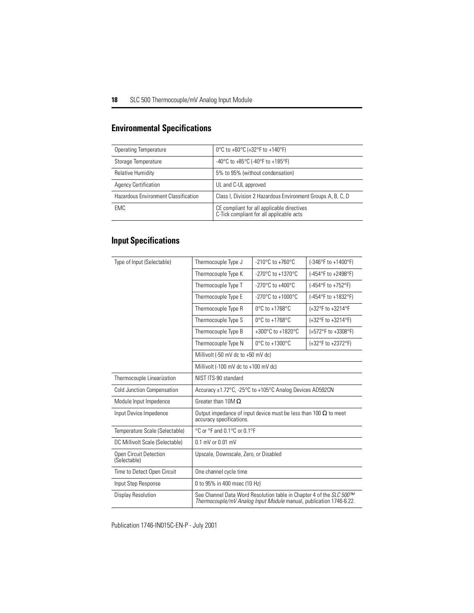# **Environmental Specifications**

| Operating Temperature                | 0°C to +60°C (+32°F to +140°F)                                                         |
|--------------------------------------|----------------------------------------------------------------------------------------|
| Storage Temperature                  | -40 °C to +85 °C (-40 °F to +185 °F)                                                   |
| <b>Relative Humidity</b>             | 5% to 95% (without condensation)                                                       |
| <b>Agency Certification</b>          | UL and C-UL approved                                                                   |
| Hazardous Environment Classification | Class I, Division 2 Hazardous Environment Groups A, B, C, D                            |
| <b>EMC</b>                           | CE compliant for all applicable directives<br>C-Tick compliant for all applicable acts |

### **Input Specifications**

| Type of Input (Selectable)             | Thermocouple Type J                                                                                                                       | $-210^{\circ}$ C to $+760^{\circ}$ C  | (-346°F to +1400°F) |
|----------------------------------------|-------------------------------------------------------------------------------------------------------------------------------------------|---------------------------------------|---------------------|
|                                        | Thermocouple Type K                                                                                                                       | -270°C to +1370°C                     | (-454°F to +2498°F) |
|                                        | Thermocouple Type T                                                                                                                       | -270°C to +400°C                      | (-454°F to +752°F)  |
|                                        | Thermocouple Type E                                                                                                                       | $-270^{\circ}$ C to $+1000^{\circ}$ C | (-454°F to +1832°F) |
|                                        | Thermocouple Type R                                                                                                                       | 0°C to +1768°C                        | (+32°F to +3214°F   |
|                                        | Thermocouple Type S                                                                                                                       | $0^{\circ}$ C to +1768 $^{\circ}$ C   | (+32°F to +3214°F)  |
|                                        | Thermocouple Type B                                                                                                                       | +300°C to +1820°C                     | (+572°F to +3308°F) |
|                                        | Thermocouple Type N                                                                                                                       | 0°C to +1300°C                        | (+32°F to +2372°F)  |
|                                        | Millivolt (-50 mV dc to +50 mV dc)                                                                                                        |                                       |                     |
|                                        | Millivolt (-100 mV dc to +100 mV dc)                                                                                                      |                                       |                     |
| Thermocouple Linearization             | NIST ITS-90 standard                                                                                                                      |                                       |                     |
| <b>Cold Junction Compensation</b>      | Accuracy ±1.72°C, -25°C to +105°C Analog Devices AD592CN                                                                                  |                                       |                     |
| Module Input Impedence                 | Greater than 10M $\Omega$                                                                                                                 |                                       |                     |
| Input Device Impedence                 | Output impedance of input device must be less than 100 $\Omega$ to meet<br>accuracy specifications.                                       |                                       |                     |
| Temperature Scale (Selectable)         | $\degree$ C or $\degree$ F and 0.1 $\degree$ C or 0.1 $\degree$ F                                                                         |                                       |                     |
| DC Millivolt Scale (Selectable)        | $0.1$ mV or $0.01$ mV                                                                                                                     |                                       |                     |
| Open Circuit Detection<br>(Selectable) | Upscale, Downscale, Zero, or Disabled                                                                                                     |                                       |                     |
| Time to Detect Open Circuit            | One channel cycle time                                                                                                                    |                                       |                     |
| Input Step Response                    | 0 to 95% in 400 msec (10 Hz)                                                                                                              |                                       |                     |
| <b>Display Resolution</b>              | See Channel Data Word Resolution table in Chapter 4 of the SLC 500™<br>Thermocouple/mV Analog Input Module manual, publication 1746-6.22. |                                       |                     |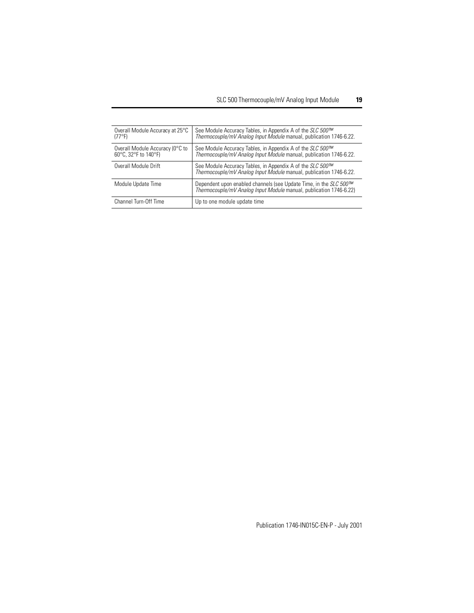| Overall Module Accuracy at 25°C<br>(77°F)               | See Module Accuracy Tables, in Appendix A of the SLC 500™<br>Thermocouple/mV Analog Input Module manual, publication 1746-6.22.         |
|---------------------------------------------------------|-----------------------------------------------------------------------------------------------------------------------------------------|
| Overall Module Accuracy (0°C to<br>60°C. 32°F to 140°F) | See Module Accuracy Tables, in Appendix A of the SLC 500™<br>Thermocouple/mV Analog Input Module manual, publication 1746-6.22.         |
| Overall Module Drift                                    | See Module Accuracy Tables, in Appendix A of the SLC 500™<br>Thermocouple/mV Analog Input Module manual, publication 1746-6.22.         |
| Module Update Time                                      | Dependent upon enabled channels (see Update Time, in the SLC 500™<br>Thermocouple/mV Analog Input Module manual, publication 1746-6.22) |
| Channel Turn-Off Time                                   | Up to one module update time                                                                                                            |